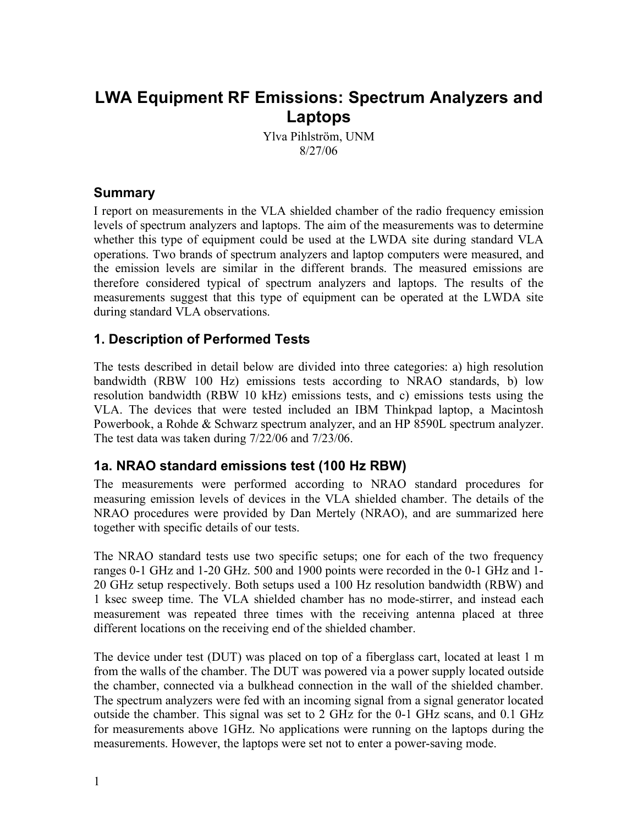# **LWA Equipment RF Emissions: Spectrum Analyzers and Laptops**

Ylva Pihlström, UNM 8/27/06

### **Summary**

I report on measurements in the VLA shielded chamber of the radio frequency emission levels of spectrum analyzers and laptops. The aim of the measurements was to determine whether this type of equipment could be used at the LWDA site during standard VLA operations. Two brands of spectrum analyzers and laptop computers were measured, and the emission levels are similar in the different brands. The measured emissions are therefore considered typical of spectrum analyzers and laptops. The results of the measurements suggest that this type of equipment can be operated at the LWDA site during standard VLA observations.

## **1. Description of Performed Tests**

The tests described in detail below are divided into three categories: a) high resolution bandwidth (RBW 100 Hz) emissions tests according to NRAO standards, b) low resolution bandwidth (RBW 10 kHz) emissions tests, and c) emissions tests using the VLA. The devices that were tested included an IBM Thinkpad laptop, a Macintosh Powerbook, a Rohde & Schwarz spectrum analyzer, and an HP 8590L spectrum analyzer. The test data was taken during 7/22/06 and 7/23/06.

### **1a. NRAO standard emissions test (100 Hz RBW)**

The measurements were performed according to NRAO standard procedures for measuring emission levels of devices in the VLA shielded chamber. The details of the NRAO procedures were provided by Dan Mertely (NRAO), and are summarized here together with specific details of our tests.

The NRAO standard tests use two specific setups; one for each of the two frequency ranges 0-1 GHz and 1-20 GHz. 500 and 1900 points were recorded in the 0-1 GHz and 1- 20 GHz setup respectively. Both setups used a 100 Hz resolution bandwidth (RBW) and 1 ksec sweep time. The VLA shielded chamber has no mode-stirrer, and instead each measurement was repeated three times with the receiving antenna placed at three different locations on the receiving end of the shielded chamber.

The device under test (DUT) was placed on top of a fiberglass cart, located at least 1 m from the walls of the chamber. The DUT was powered via a power supply located outside the chamber, connected via a bulkhead connection in the wall of the shielded chamber. The spectrum analyzers were fed with an incoming signal from a signal generator located outside the chamber. This signal was set to 2 GHz for the 0-1 GHz scans, and 0.1 GHz for measurements above 1GHz. No applications were running on the laptops during the measurements. However, the laptops were set not to enter a power-saving mode.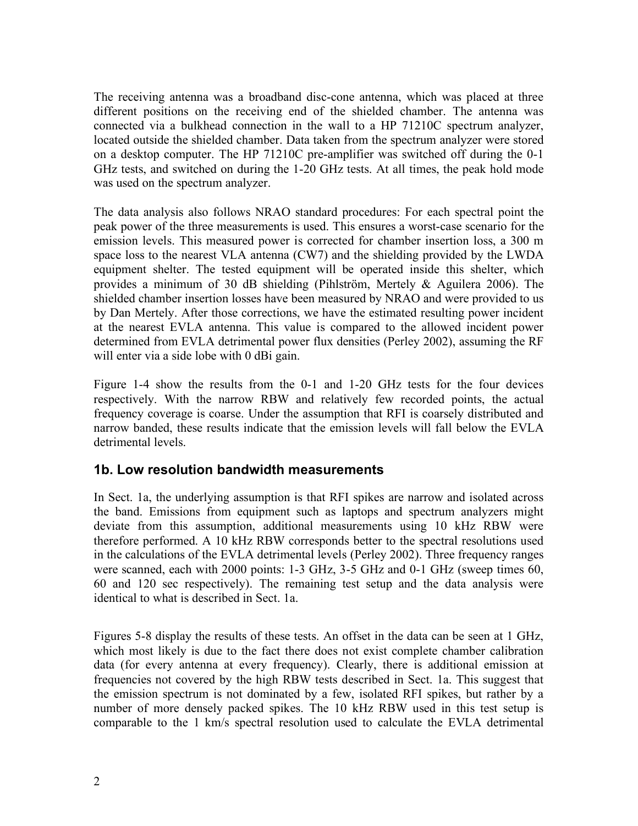The receiving antenna was a broadband disc-cone antenna, which was placed at three different positions on the receiving end of the shielded chamber. The antenna was connected via a bulkhead connection in the wall to a HP 71210C spectrum analyzer, located outside the shielded chamber. Data taken from the spectrum analyzer were stored on a desktop computer. The HP 71210C pre-amplifier was switched off during the 0-1 GHz tests, and switched on during the 1-20 GHz tests. At all times, the peak hold mode was used on the spectrum analyzer.

The data analysis also follows NRAO standard procedures: For each spectral point the peak power of the three measurements is used. This ensures a worst-case scenario for the emission levels. This measured power is corrected for chamber insertion loss, a 300 m space loss to the nearest VLA antenna (CW7) and the shielding provided by the LWDA equipment shelter. The tested equipment will be operated inside this shelter, which provides a minimum of 30 dB shielding (Pihlström, Mertely & Aguilera 2006). The shielded chamber insertion losses have been measured by NRAO and were provided to us by Dan Mertely. After those corrections, we have the estimated resulting power incident at the nearest EVLA antenna. This value is compared to the allowed incident power determined from EVLA detrimental power flux densities (Perley 2002), assuming the RF will enter via a side lobe with 0 dBi gain.

Figure 1-4 show the results from the 0-1 and 1-20 GHz tests for the four devices respectively. With the narrow RBW and relatively few recorded points, the actual frequency coverage is coarse. Under the assumption that RFI is coarsely distributed and narrow banded, these results indicate that the emission levels will fall below the EVLA detrimental levels.

### **1b. Low resolution bandwidth measurements**

In Sect. 1a, the underlying assumption is that RFI spikes are narrow and isolated across the band. Emissions from equipment such as laptops and spectrum analyzers might deviate from this assumption, additional measurements using 10 kHz RBW were therefore performed. A 10 kHz RBW corresponds better to the spectral resolutions used in the calculations of the EVLA detrimental levels (Perley 2002). Three frequency ranges were scanned, each with 2000 points: 1-3 GHz, 3-5 GHz and 0-1 GHz (sweep times 60, 60 and 120 sec respectively). The remaining test setup and the data analysis were identical to what is described in Sect. 1a.

Figures 5-8 display the results of these tests. An offset in the data can be seen at 1 GHz, which most likely is due to the fact there does not exist complete chamber calibration data (for every antenna at every frequency). Clearly, there is additional emission at frequencies not covered by the high RBW tests described in Sect. 1a. This suggest that the emission spectrum is not dominated by a few, isolated RFI spikes, but rather by a number of more densely packed spikes. The 10 kHz RBW used in this test setup is comparable to the 1 km/s spectral resolution used to calculate the EVLA detrimental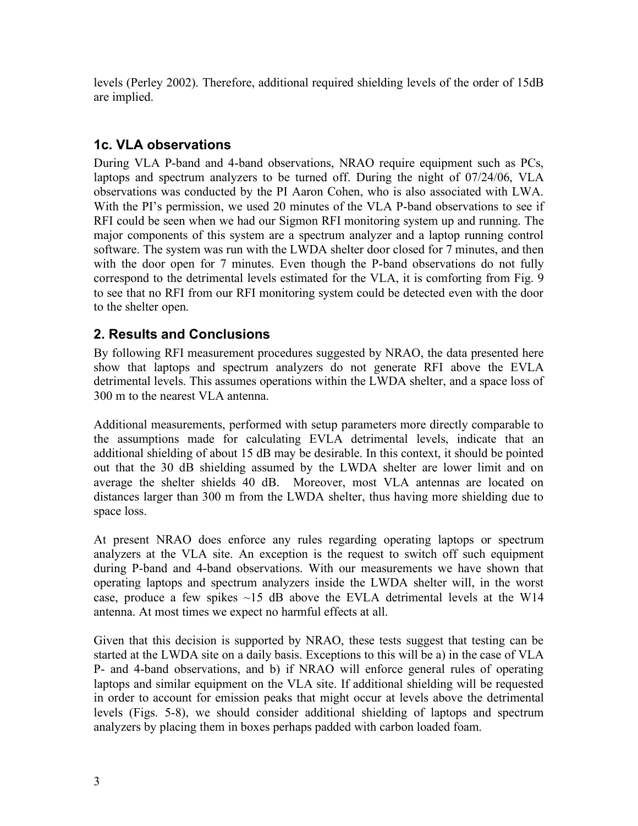levels (Perley 2002). Therefore, additional required shielding levels of the order of 15dB are implied.

# **1c. VLA observations**

During VLA P-band and 4-band observations, NRAO require equipment such as PCs, laptops and spectrum analyzers to be turned off. During the night of 07/24/06, VLA observations was conducted by the PI Aaron Cohen, who is also associated with LWA. With the PI's permission, we used 20 minutes of the VLA P-band observations to see if RFI could be seen when we had our Sigmon RFI monitoring system up and running. The major components of this system are a spectrum analyzer and a laptop running control software. The system was run with the LWDA shelter door closed for 7 minutes, and then with the door open for 7 minutes. Even though the P-band observations do not fully correspond to the detrimental levels estimated for the VLA, it is comforting from Fig. 9 to see that no RFI from our RFI monitoring system could be detected even with the door to the shelter open.

# **2. Results and Conclusions**

By following RFI measurement procedures suggested by NRAO, the data presented here show that laptops and spectrum analyzers do not generate RFI above the EVLA detrimental levels. This assumes operations within the LWDA shelter, and a space loss of 300 m to the nearest VLA antenna.

Additional measurements, performed with setup parameters more directly comparable to the assumptions made for calculating EVLA detrimental levels, indicate that an additional shielding of about 15 dB may be desirable. In this context, it should be pointed out that the 30 dB shielding assumed by the LWDA shelter are lower limit and on average the shelter shields 40 dB. Moreover, most VLA antennas are located on distances larger than 300 m from the LWDA shelter, thus having more shielding due to space loss.

At present NRAO does enforce any rules regarding operating laptops or spectrum analyzers at the VLA site. An exception is the request to switch off such equipment during P-band and 4-band observations. With our measurements we have shown that operating laptops and spectrum analyzers inside the LWDA shelter will, in the worst case, produce a few spikes  $\sim$ 15 dB above the EVLA detrimental levels at the W14 antenna. At most times we expect no harmful effects at all.

Given that this decision is supported by NRAO, these tests suggest that testing can be started at the LWDA site on a daily basis. Exceptions to this will be a) in the case of VLA P- and 4-band observations, and b) if NRAO will enforce general rules of operating laptops and similar equipment on the VLA site. If additional shielding will be requested in order to account for emission peaks that might occur at levels above the detrimental levels (Figs. 5-8), we should consider additional shielding of laptops and spectrum analyzers by placing them in boxes perhaps padded with carbon loaded foam.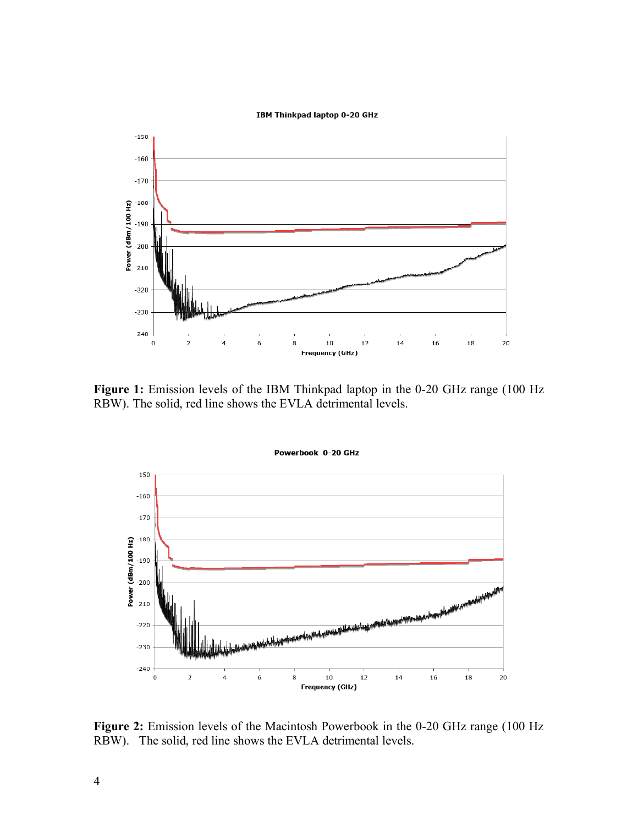



**Figure 1:** Emission levels of the IBM Thinkpad laptop in the 0-20 GHz range (100 Hz RBW). The solid, red line shows the EVLA detrimental levels.



**Figure 2:** Emission levels of the Macintosh Powerbook in the 0-20 GHz range (100 Hz RBW). The solid, red line shows the EVLA detrimental levels.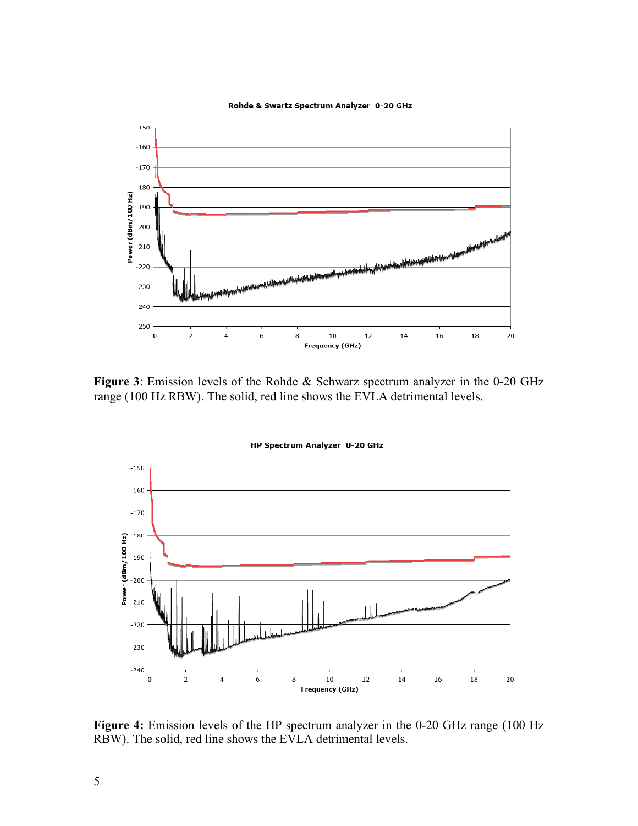#### Rohde & Swartz Spectrum Analyzer 0-20 GHz



**Figure 3**: Emission levels of the Rohde & Schwarz spectrum analyzer in the 0-20 GHz range (100 Hz RBW). The solid, red line shows the EVLA detrimental levels.



HP Spectrum Analyzer 0-20 GHz

**Figure 4:** Emission levels of the HP spectrum analyzer in the 0-20 GHz range (100 Hz RBW). The solid, red line shows the EVLA detrimental levels.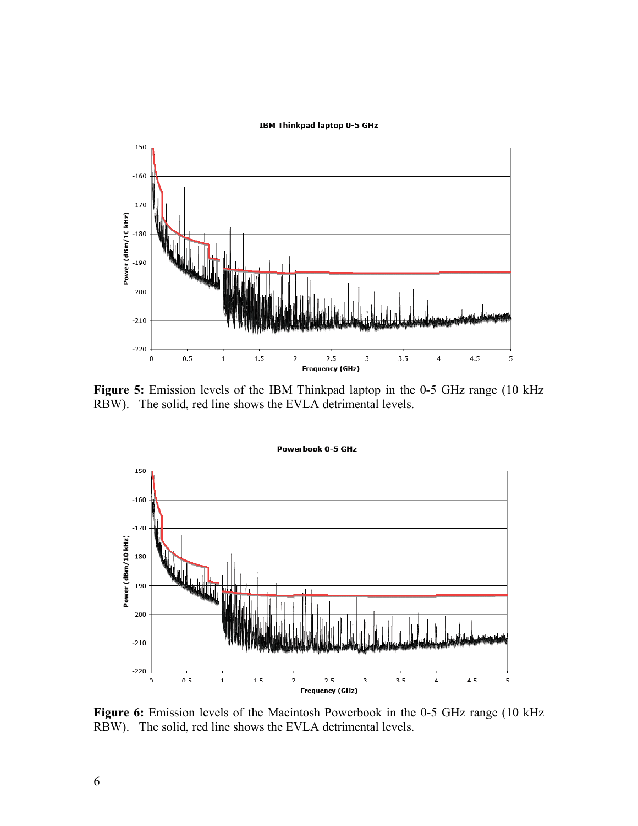#### **IBM Thinkpad laptop 0-5 GHz**



**Figure 5:** Emission levels of the IBM Thinkpad laptop in the 0-5 GHz range (10 kHz RBW). The solid, red line shows the EVLA detrimental levels.



**Figure 6:** Emission levels of the Macintosh Powerbook in the 0-5 GHz range (10 kHz RBW). The solid, red line shows the EVLA detrimental levels.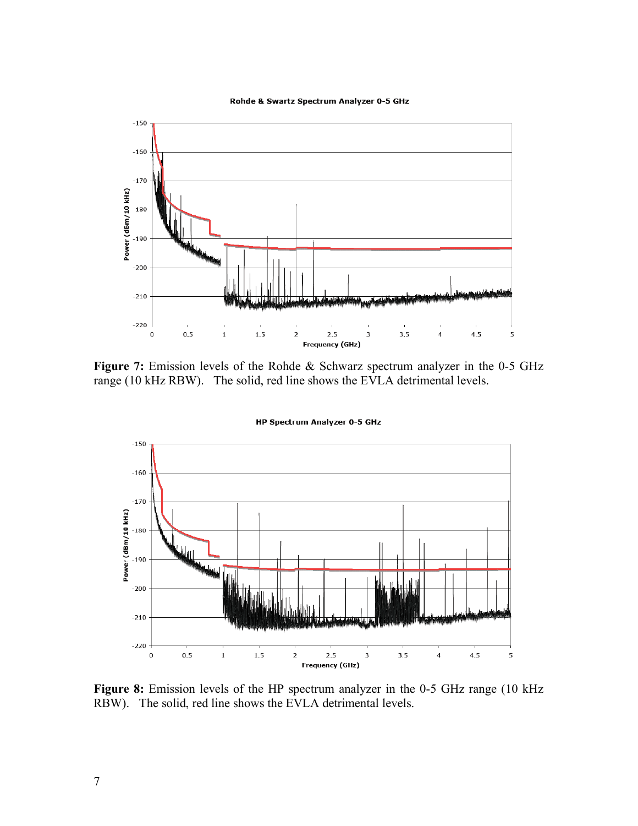#### Rohde & Swartz Spectrum Analyzer 0-5 GHz



**Figure 7:** Emission levels of the Rohde & Schwarz spectrum analyzer in the 0-5 GHz range (10 kHz RBW). The solid, red line shows the EVLA detrimental levels.



**HP Spectrum Analyzer 0-5 GHz** 

**Figure 8:** Emission levels of the HP spectrum analyzer in the 0-5 GHz range (10 kHz RBW). The solid, red line shows the EVLA detrimental levels.